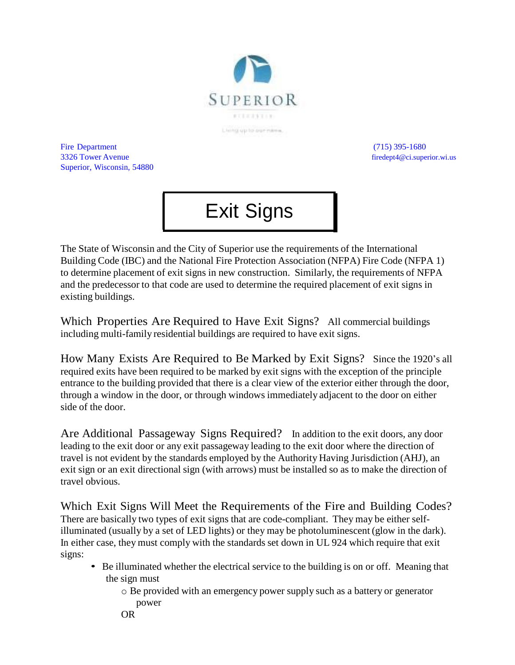

Fire Department (715) 395-1680 3326 Tower Avenue firedept4@ci.superior.wi.us Superior, Wisconsin, 54880

## Exit Signs

The State of Wisconsin and the City of Superior use the requirements of the International Building Code (IBC) and the National Fire Protection Association (NFPA) Fire Code (NFPA 1) to determine placement of exit signs in new construction. Similarly, the requirements of NFPA and the predecessor to that code are used to determine the required placement of exit signs in existing buildings.

Which Properties Are Required to Have Exit Signs? All commercial buildings including multi-family residential buildings are required to have exit signs.

How Many Exists Are Required to Be Marked by Exit Signs? Since the 1920's all required exits have been required to be marked by exit signs with the exception of the principle entrance to the building provided that there is a clear view of the exterior either through the door, through a window in the door, or through windows immediately adjacent to the door on either side of the door.

Are Additional Passageway Signs Required? In addition to the exit doors, any door leading to the exit door or any exit passageway leading to the exit door where the direction of travel is not evident by the standards employed by the Authority Having Jurisdiction (AHJ), an exit sign or an exit directional sign (with arrows) must be installed so as to make the direction of travel obvious.

Which Exit Signs Will Meet the Requirements of the Fire and Building Codes? There are basically two types of exit signs that are code-compliant. They may be either selfilluminated (usually by a set of LED lights) or they may be photoluminescent (glow in the dark). In either case, they must comply with the standards set down in UL 924 which require that exit signs:

- Be illuminated whether the electrical service to the building is on or off. Meaning that the sign must
	- o Be provided with an emergency power supply such as a battery or generator power
	- OR